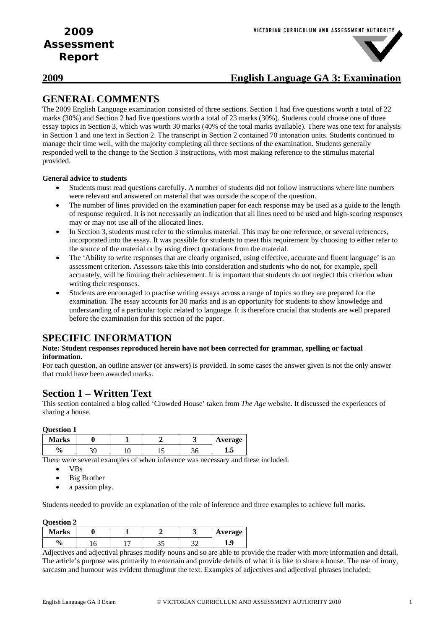

### **2009 English Language GA 3: Examination**

## **GENERAL COMMENTS**

The 2009 English Language examination consisted of three sections. Section 1 had five questions worth a total of 22 marks (30%) and Section 2 had five questions worth a total of 23 marks (30%). Students could choose one of three essay topics in Section 3, which was worth 30 marks (40% of the total marks available). There was one text for analysis in Section 1 and one text in Section 2. The transcript in Section 2 contained 70 intonation units. Students continued to manage their time well, with the majority completing all three sections of the examination. Students generally responded well to the change to the Section 3 instructions, with most making reference to the stimulus material provided.

### **General advice to students**

- Students must read questions carefully. A number of students did not follow instructions where line numbers were relevant and answered on material that was outside the scope of the question.
- The number of lines provided on the examination paper for each response may be used as a guide to the length of response required. It is not necessarily an indication that all lines need to be used and high-scoring responses may or may not use all of the allocated lines.
- In Section 3, students must refer to the stimulus material. This may be one reference, or several references, incorporated into the essay. It was possible for students to meet this requirement by choosing to either refer to the source of the material or by using direct quotations from the material.
- The 'Ability to write responses that are clearly organised, using effective, accurate and fluent language' is an assessment criterion. Assessors take this into consideration and students who do not, for example, spell accurately, will be limiting their achievement. It is important that students do not neglect this criterion when writing their responses.
- Students are encouraged to practise writing essays across a range of topics so they are prepared for the examination. The essay accounts for 30 marks and is an opportunity for students to show knowledge and understanding of a particular topic related to language. It is therefore crucial that students are well prepared before the examination for this section of the paper.

### **SPECIFIC INFORMATION**

#### **Note: Student responses reproduced herein have not been corrected for grammar, spelling or factual information.**

For each question, an outline answer (or answers) is provided. In some cases the answer given is not the only answer that could have been awarded marks.

### **Section 1 – Written Text**

This section contained a blog called 'Crowded House' taken from *The Age* website. It discussed the experiences of sharing a house.

#### **Question 1**

| <b>Marks</b> |  |  | Average |
|--------------|--|--|---------|
| ' U          |  |  | ⊥•∿     |

There were several examples of when inference was necessary and these included:

- VBs
- Big Brother
- a passion play.

Students needed to provide an explanation of the role of inference and three examples to achieve full marks.

#### **Question 2**

| <b>Marks</b> |  |   | Average |
|--------------|--|---|---------|
| ∕0           |  | ົ |         |

Adjectives and adjectival phrases modify nouns and so are able to provide the reader with more information and detail. The article's purpose was primarily to entertain and provide details of what it is like to share a house. The use of irony, sarcasm and humour was evident throughout the text. Examples of adjectives and adjectival phrases included: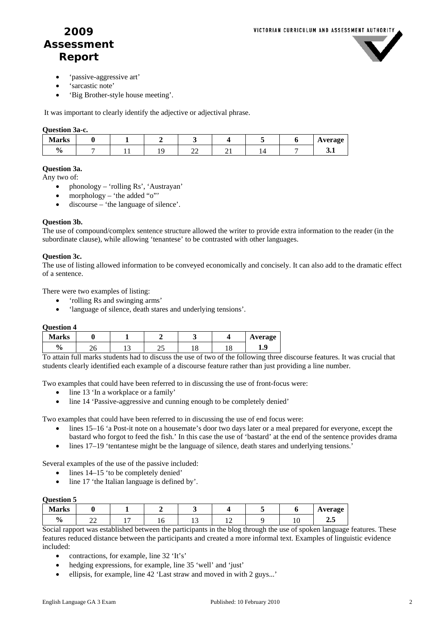

- 'passive-aggressive art'
- 'sarcastic note'
- 'Big Brother-style house meeting'.

It was important to clearly identify the adjective or adjectival phrase.

#### **Question 3a-c.**

| <b>Marks</b>  |  |                          |  | <b>Average</b> |
|---------------|--|--------------------------|--|----------------|
| $\frac{0}{0}$ |  | $\overline{\phantom{a}}$ |  | ◡…             |

#### **Question 3a.**

Any two of:

- phonology 'rolling Rs', 'Austrayan'
- morphology  $-$  'the added "o"'
- discourse 'the language of silence'.

#### **Question 3b.**

The use of compound/complex sentence structure allowed the writer to provide extra information to the reader (in the subordinate clause), while allowing 'tenantese' to be contrasted with other languages.

#### **Question 3c.**

The use of listing allowed information to be conveyed economically and concisely. It can also add to the dramatic effect of a sentence.

There were two examples of listing:

- 'rolling Rs and swinging arms'
- 'language of silence, death stares and underlying tensions'.

#### **Question 4**

| <b>Marks</b>  |   |     |    |          | Average |
|---------------|---|-----|----|----------|---------|
| $\frac{0}{0}$ | ີ | . . | -- | C<br>1 L | O<br>-- |

To attain full marks students had to discuss the use of two of the following three discourse features. It was crucial that students clearly identified each example of a discourse feature rather than just providing a line number.

Two examples that could have been referred to in discussing the use of front-focus were:

- line 13 'In a workplace or a family'
- line 14 'Passive-aggressive and cunning enough to be completely denied'

Two examples that could have been referred to in discussing the use of end focus were:

- lines 15–16 'a Post-it note on a housemate's door two days later or a meal prepared for everyone, except the bastard who forgot to feed the fish.' In this case the use of 'bastard' at the end of the sentence provides drama
- lines 17–19 'tentantese might be the language of silence, death stares and underlying tensions.'

Several examples of the use of the passive included:

- lines 14–15 'to be completely denied'
- line 17 'the Italian language is defined by'.

#### **Question 5**

| <b>Aarks</b>       |                                |  |     |  | Average |
|--------------------|--------------------------------|--|-----|--|---------|
| $\mathbf{0}$<br>70 | $\overline{\phantom{a}}$<br>∠∠ |  | . . |  | د.⊾     |

Social rapport was established between the participants in the blog through the use of spoken language features. These features reduced distance between the participants and created a more informal text. Examples of linguistic evidence included:

- contractions, for example, line 32 'It's'
- hedging expressions, for example, line 35 'well' and 'just'
- ellipsis, for example, line 42 'Last straw and moved in with 2 guys...'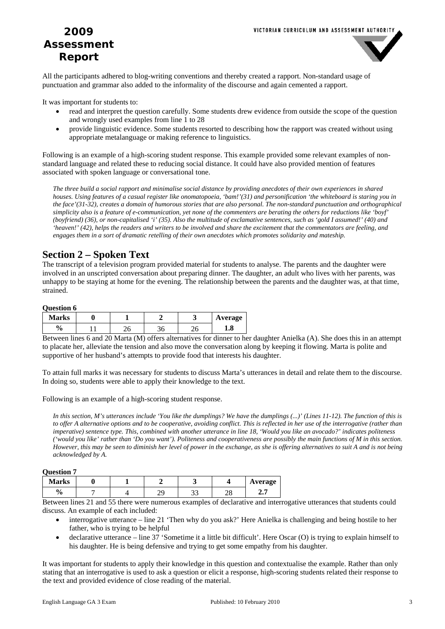

All the participants adhered to blog-writing conventions and thereby created a rapport. Non-standard usage of punctuation and grammar also added to the informality of the discourse and again cemented a rapport.

It was important for students to:

- read and interpret the question carefully. Some students drew evidence from outside the scope of the question and wrongly used examples from line 1 to 28
- provide linguistic evidence. Some students resorted to describing how the rapport was created without using appropriate metalanguage or making reference to linguistics.

Following is an example of a high-scoring student response. This example provided some relevant examples of nonstandard language and related these to reducing social distance. It could have also provided mention of features associated with spoken language or conversational tone.

*The three build a social rapport and minimalise social distance by providing anecdotes of their own experiences in shared houses. Using features of a casual register like onomatopoeia, 'bam!'(31) and personification 'the whiteboard is staring you in the face'(31-32), creates a domain of humorous stories that are also personal. The non-standard punctuation and orthographical simplicity also is a feature of e-communication, yet none of the commenters are berating the others for reductions like 'boyf' (boyfriend) (36), or non-capitalised 'i' (35). Also the multitude of exclamative sentences, such as 'gold I assumed!' (40) and 'heaven!' (42), helps the readers and writers to be involved and share the excitement that the commentators are feeling, and engages them in a sort of dramatic retelling of their own anecdotes which promotes solidarity and mateship.* 

# **Section 2 – Spoken Text**

The transcript of a television program provided material for students to analyse. The parents and the daughter were involved in an unscripted conversation about preparing dinner. The daughter, an adult who lives with her parents, was unhappy to be staying at home for the evening. The relationship between the parents and the daughter was, at that time, strained.

#### **Question 6**

| <b>Marks</b>  |   |     | ັ  | Average |
|---------------|---|-----|----|---------|
| $\frac{1}{2}$ | - | JU. | -- | 1.0     |

Between lines 6 and 20 Marta (M) offers alternatives for dinner to her daughter Anielka (A). She does this in an attempt to placate her, alleviate the tension and also move the conversation along by keeping it flowing. Marta is polite and supportive of her husband's attempts to provide food that interests his daughter.

To attain full marks it was necessary for students to discuss Marta's utterances in detail and relate them to the discourse. In doing so, students were able to apply their knowledge to the text.

Following is an example of a high-scoring student response.

*In this section, M's utterances include 'You like the dumplings? We have the dumplings (...)' (Lines 11-12). The function of this is to offer A alternative options and to be cooperative, avoiding conflict. This is reflected in her use of the interrogative (rather than imperative) sentence type. This, combined with another utterance in line 18, 'Would you like an avocado?' indicates politeness ('would you like' rather than 'Do you want'). Politeness and cooperativeness are possibly the main functions of M in this section. However, this may be seen to diminish her level of power in the exchange, as she is offering alternatives to suit A and is not being acknowledged by A.* 

#### **Question 7**

| <b>Marks</b>        |  |                |   | Average       |
|---------------------|--|----------------|---|---------------|
| $\mathbf{0}_{\ell}$ |  | <b>^^</b><br>ັ | ⊷ | -<br><u>_</u> |

Between lines 21 and 55 there were numerous examples of declarative and interrogative utterances that students could discuss. An example of each included:

- interrogative utterance line 21 'Then why do you ask?' Here Anielka is challenging and being hostile to her father, who is trying to be helpful
- declarative utterance line 37 'Sometime it a little bit difficult'. Here Oscar (O) is trying to explain himself to his daughter. He is being defensive and trying to get some empathy from his daughter.

It was important for students to apply their knowledge in this question and contextualise the example. Rather than only stating that an interrogative is used to ask a question or elicit a response, high-scoring students related their response to the text and provided evidence of close reading of the material.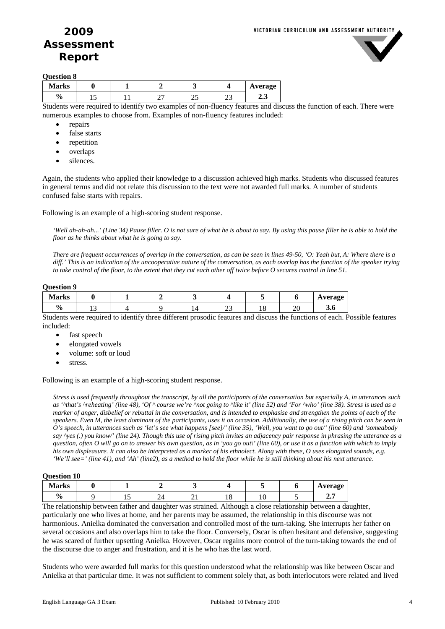

#### **Question 8**

| <b>Marks</b> |                  |          |   |             | Average |
|--------------|------------------|----------|---|-------------|---------|
| 0.<br>′€     |                  |          | ت | n,<br>--    | ້⊿. ບ   |
| --<br>$\sim$ | $\sim$<br>$\sim$ | . .<br>. |   | -<br>$\sim$ | $ -$    |

Students were required to identify two examples of non-fluency features and discuss the function of each. There were numerous examples to choose from. Examples of non-fluency features included:

- repairs
- false starts
- repetition
- overlaps
- silences.

Again, the students who applied their knowledge to a discussion achieved high marks. Students who discussed features in general terms and did not relate this discussion to the text were not awarded full marks. A number of students confused false starts with repairs.

Following is an example of a high-scoring student response.

*'Well ah-ah-ah...' (Line 34) Pause filler. O is not sure of what he is about to say. By using this pause filler he is able to hold the floor as he thinks about what he is going to say.* 

*There are frequent occurrences of overlap in the conversation, as can be seen in lines 49-50, 'O: Yeah but, A: Where there is a diff.' This is an indication of the uncooperative nature of the conversation, as each overlap has the function of the speaker trying to take control of the floor, to the extent that they cut each other off twice before O secures control in line 51.* 

#### **Question 9**

| <b>Marks</b>       |   |  |     |                     |          | <b>Average</b> |
|--------------------|---|--|-----|---------------------|----------|----------------|
| $\mathbf{0}$<br>Ζ0 | " |  | ر_ر | $\mathbf{\ddot{o}}$ | nn<br>∠∪ | J.V            |

Students were required to identify three different prosodic features and discuss the functions of each. Possible features included:

- fast speech
- elongated vowels
- volume: soft or loud
- stress.

Following is an example of a high-scoring student response.

*Stress is used frequently throughout the transcript, by all the participants of the conversation but especially A, in utterances such as '^that's ^reheating' (line 48), 'Of ^ course we're ^not going to ^like it' (line 52) and 'For ^who' (line 38). Stress is used as a marker of anger, disbelief or rebuttal in the conversation, and is intended to emphasise and strengthen the points of each of the speakers. Even M, the least dominant of the participants, uses it on occasion. Additionally, the use of a rising pitch can be seen in O's speech, in utterances such as 'let's see what happens [see]/' (line 35), 'Well, you want to go out/' (line 60) and 'someabody say ^yes (.) you know/' (line 24). Though this use of rising pitch invites an adjacency pair response in phrasing the utterance as a question, often O will go on to answer his own question, as in 'you go out\' (line 60), or use it as a function with which to imply his own displeasure. It can also be interpreted as a marker of his ethnolect. Along with these, O uses elongated sounds, e.g. 'We'll see=' (line 41), and 'Ah' (line2), as a method to hold the floor while he is still thinking about his next utterance.* 

#### **Question 10**

| $\mathbf{v}$ where $\mathbf{v}$ |     |     |     |   |  |                |
|---------------------------------|-----|-----|-----|---|--|----------------|
| <b>Marks</b>                    |     |     |     |   |  | <b>Average</b> |
| $\frac{6}{9}$                   | . . | - 1 | - - | ັ |  | ، س            |

The relationship between father and daughter was strained. Although a close relationship between a daughter, particularly one who lives at home, and her parents may be assumed, the relationship in this discourse was not harmonious. Anielka dominated the conversation and controlled most of the turn-taking. She interrupts her father on several occasions and also overlaps him to take the floor. Conversely, Oscar is often hesitant and defensive, suggesting he was scared of further upsetting Anielka. However, Oscar regains more control of the turn-taking towards the end of the discourse due to anger and frustration, and it is he who has the last word.

Students who were awarded full marks for this question understood what the relationship was like between Oscar and Anielka at that particular time. It was not sufficient to comment solely that, as both interlocutors were related and lived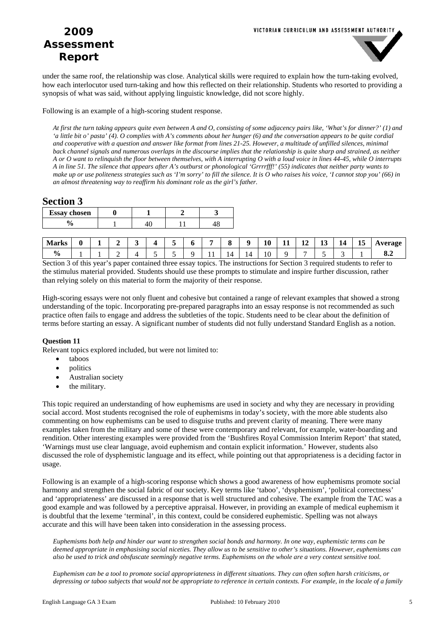

under the same roof, the relationship was close. Analytical skills were required to explain how the turn-taking evolved, how each interlocutor used turn-taking and how this reflected on their relationship. Students who resorted to providing a synopsis of what was said, without applying linguistic knowledge, did not score highly.

Following is an example of a high-scoring student response.

*At first the turn taking appears quite even between A and O, consisting of some adjacency pairs like, 'What's for dinner?' (1) and 'a little bit o' pasta' (4). O complies with A's comments about her hunger (6) and the conversation appears to be quite cordial and cooperative with a question and answer like format from lines 21-25. However, a multitude of unfilled silences, minimal back channel signals and numerous overlaps in the discourse implies that the relationship is quite sharp and strained, as neither A or O want to relinquish the floor between themselves, with A interrupting O with a loud voice in lines 44-45, while O interrupts A in line 51. The silence that appears after A's outburst or phonological 'Grrrrfff!' (55) indicates that neither party wants to make up or use politeness strategies such as 'I'm sorry' to fill the silence. It is O who raises his voice, 'I cannot stop you' (66) in an almost threatening way to reaffirm his dominant role as the girl's father.* 

### **Section 3**

| <b>Essay chosen</b> |  |  |
|---------------------|--|--|
|                     |  |  |

| Marks         | 0 | - |   |  | $\overline{\phantom{0}}$ |     |                       | 10 | - -<br>11 | -14 | ∸~<br>$\sim$ | 14 | - -<br>15 | verage |
|---------------|---|---|---|--|--------------------------|-----|-----------------------|----|-----------|-----|--------------|----|-----------|--------|
| $\frac{6}{9}$ |   |   | - |  |                          | . . | $\overline{a}$<br>. . | 10 | O         |     |              |    |           | 0.4    |

Section 3 of this year's paper contained three essay topics. The instructions for Section 3 required students to refer to the stimulus material provided. Students should use these prompts to stimulate and inspire further discussion, rather than relying solely on this material to form the majority of their response.

High-scoring essays were not only fluent and cohesive but contained a range of relevant examples that showed a strong understanding of the topic. Incorporating pre-prepared paragraphs into an essay response is not recommended as such practice often fails to engage and address the subtleties of the topic. Students need to be clear about the definition of terms before starting an essay. A significant number of students did not fully understand Standard English as a notion.

#### **Question 11**

Relevant topics explored included, but were not limited to:

- taboos
- politics
- Australian society
- the military.

This topic required an understanding of how euphemisms are used in society and why they are necessary in providing social accord. Most students recognised the role of euphemisms in today's society, with the more able students also commenting on how euphemisms can be used to disguise truths and prevent clarity of meaning. There were many examples taken from the military and some of these were contemporary and relevant, for example, water-boarding and rendition. Other interesting examples were provided from the 'Bushfires Royal Commission Interim Report' that stated, 'Warnings must use clear language, avoid euphemism and contain explicit information.' However, students also discussed the role of dysphemistic language and its effect, while pointing out that appropriateness is a deciding factor in usage.

Following is an example of a high-scoring response which shows a good awareness of how euphemisms promote social harmony and strengthen the social fabric of our society. Key terms like 'taboo', 'dysphemism', 'political correctness' and 'appropriateness' are discussed in a response that is well structured and cohesive. The example from the TAC was a good example and was followed by a perceptive appraisal. However, in providing an example of medical euphemism it is doubtful that the lexeme 'terminal', in this context, could be considered euphemistic. Spelling was not always accurate and this will have been taken into consideration in the assessing process.

*Euphemisms both help and hinder our want to strengthen social bonds and harmony. In one way, euphemistic terms can be deemed appropriate in emphasising social niceties. They allow us to be sensitive to other's situations. However, euphemisms can also be used to trick and obsfuscate seemingly negative terms. Euphemisms on the whole are a very context sensitive tool.* 

*Euphemism can be a tool to promote social appropriateness in different situations. They can often soften harsh criticisms, or depressing or taboo subjects that would not be appropriate to reference in certain contexts. For example, in the locale of a family*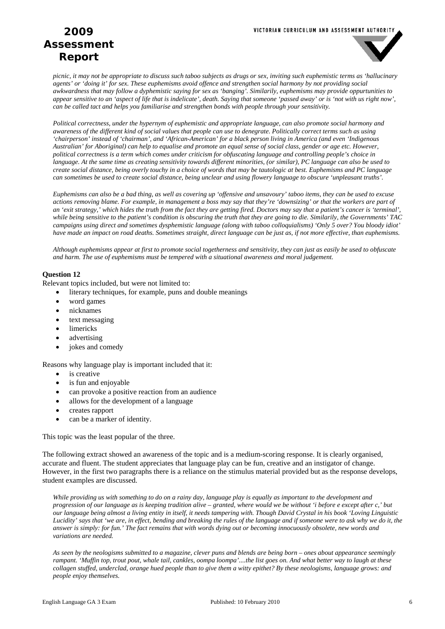

*picnic, it may not be appropriate to discuss such taboo subjects as drugs or sex, inviting such euphemistic terms as 'hallucinary agents' or 'doing it' for sex. These euphemisms avoid offence and strengthen social harmony by not providing social awkwardness that may follow a dyphemistic saying for sex as 'banging'. Similarily, euphemisms may provide oppurtunities to appear sensitive to an 'aspect of life that is indelicate', death. Saying that someone 'passed away' or is 'not with us right now', can be called tact and helps you familiarise and strengthen bonds with people through your sensitivity.* 

*Political correctness, under the hypernym of euphemistic and appropriate language, can also promote social harmony and awareness of the different kind of social values that people can use to denegrate. Politically correct terms such as using 'chairperson' instead of 'chairman', and 'African-American' for a black person living in America (and even 'Indigenous Australian' for Aboriginal) can help to equalise and promote an equal sense of social class, gender or age etc. However, political correctness is a term which comes under criticism for obfuscating language and controlling people's choice in language. At the same time as creating sensitivity towards different minorities, (or similar), PC language can also be used to create social distance, being overly touchy in a choice of words that may be tautologic at best. Euphemisms and PC language can sometimes be used to create social distance, being unclear and using flowery language to obscure 'unpleasant truths'.* 

*Euphemisms can also be a bad thing, as well as covering up 'offensive and unsavoury' taboo items, they can be used to excuse actions removing blame. For example, in management a boss may say that they're 'downsizing' or that the workers are part of an 'exit strategy,' which hides the truth from the fact they are getting fired. Doctors may say that a patient's cancer is 'terminal', while being sensitive to the patient's condition is obscuring the truth that they are going to die. Similarily, the Governments' TAC campaigns using direct and sometimes dysphemistic language (along with taboo colloquialisms) 'Only 5 over? You bloody idiot' have made an impact on road deaths. Sometimes straight, direct language can be just as, if not more effective, than euphemisms.* 

*Although euphemisms appear at first to promote social togetherness and sensitivity, they can just as easily be used to obfuscate and harm. The use of euphemisms must be tempered with a situational awareness and moral judgement.* 

#### **Question 12**

Relevant topics included, but were not limited to:

- literary techniques, for example, puns and double meanings
- word games
- nicknames
- text messaging
- limericks
- advertising
- jokes and comedy

Reasons why language play is important included that it:

- is creative
- is fun and enjoyable
- can provoke a positive reaction from an audience
- allows for the development of a language
- creates rapport
- can be a marker of identity.

This topic was the least popular of the three.

The following extract showed an awareness of the topic and is a medium-scoring response. It is clearly organised, accurate and fluent. The student appreciates that language play can be fun, creative and an instigator of change. However, in the first two paragraphs there is a reliance on the stimulus material provided but as the response develops, student examples are discussed.

*While providing us with something to do on a rainy day, language play is equally as important to the development and progression of our language as is keeping tradition alive – granted, where would we be without 'i before e except after c,' but our language being almost a living entity in itself, it needs tampering with. Though David Crystal in his book 'Loving Linguistic Lucidity' says that 'we are, in effect, bending and breaking the rules of the language and if someone were to ask why we do it, the answer is simply: for fun.' The fact remains that with words dying out or becoming innocuously obsolete, new words and variations are needed.* 

*As seen by the neologisms submitted to a magazine, clever puns and blends are being born – ones about appearance seemingly rampant. 'Muffin top, trout pout, whale tail, cankles, oompa loompa'....the list goes on. And what better way to laugh at these collagen stuffed, underclad, orange hued people than to give them a witty epithet? By these neologisms, language grows: and people enjoy themselves.*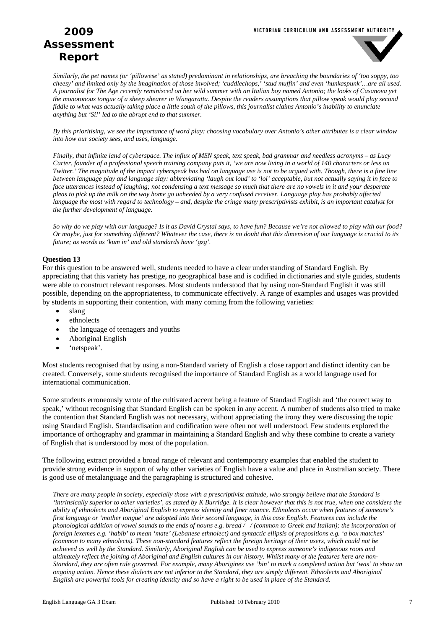#### VICTORIAN CURRICULUM AND ASSESSMENT AUTHORITY

# **2009 Assessment Report**



*Similarly, the pet names (or 'pillowese' as stated) predominant in relationships, are breaching the boundaries of 'too soppy, too cheesy' and limited only by the imagination of those involved; 'cuddlechops,' 'stud muffin' and even 'hunkaspunk'…are all used. A journalist for The Age recently reminisced on her wild summer with an Italian boy named Antonio; the looks of Casanova yet the monotonous tongue of a sheep shearer in Wangaratta. Despite the readers assumptions that pillow speak would play second fiddle to what was actually taking place a little south of the pillows, this journalist claims Antonio's inability to enunciate anything but 'Si!' led to the abrupt end to that summer.* 

*By this prioritising, we see the importance of word play: choosing vocabulary over Antonio's other attributes is a clear window into how our society sees, and uses, language.* 

*Finally, that infinite land of cyberspace. The influx of MSN speak, text speak, bad grammar and needless acronyms – as Lucy Carter, founder of a professional speech training company puts it, 'we are now living in a world of 140 characters or less on Twitter.' The magnitude of the impact cyberspeak has had on language use is not to be argued with. Though, there is a fine line between language play and language slay: abbreviating 'laugh out loud' to 'lol' acceptable, but not actually saying it in face to face utterances instead of laughing; not condensing a text message so much that there are no vowels in it and your desperate pleas to pick up the milk on the way home go unheeded by a very confused receiver. Language play has probably affected language the most with regard to technology – and, despite the cringe many prescriptivists exhibit, is an important catalyst for the further development of language.* 

*So why do we play with our language? Is it as David Crystal says, to have fun? Because we're not allowed to play with our food? Or maybe, just for something different? Whatever the case, there is no doubt that this dimension of our language is crucial to its future; as words as 'kum in' and old standards have 'gzg'.* 

#### **Question 13**

For this question to be answered well, students needed to have a clear understanding of Standard English. By appreciating that this variety has prestige, no geographical base and is codified in dictionaries and style guides, students were able to construct relevant responses. Most students understood that by using non-Standard English it was still possible, depending on the appropriateness, to communicate effectively. A range of examples and usages was provided by students in supporting their contention, with many coming from the following varieties:

- slang
- ethnolects
- the language of teenagers and youths
- Aboriginal English
- 'netspeak'.

Most students recognised that by using a non-Standard variety of English a close rapport and distinct identity can be created. Conversely, some students recognised the importance of Standard English as a world language used for international communication.

Some students erroneously wrote of the cultivated accent being a feature of Standard English and 'the correct way to speak,' without recognising that Standard English can be spoken in any accent. A number of students also tried to make the contention that Standard English was not necessary, without appreciating the irony they were discussing the topic using Standard English. Standardisation and codification were often not well understood. Few students explored the importance of orthography and grammar in maintaining a Standard English and why these combine to create a variety of English that is understood by most of the population.

The following extract provided a broad range of relevant and contemporary examples that enabled the student to provide strong evidence in support of why other varieties of English have a value and place in Australian society. There is good use of metalanguage and the paragraphing is structured and cohesive.

*There are many people in society, especially those with a prescriptivist attitude, who strongly believe that the Standard is 'intrinsically superior to other varieties', as stated by K Burridge. It is clear however that this is not true, when one considers the ability of ethnolects and Aboriginal English to express identity and finer nuance. Ethnolects occur when features of someone's first language or 'mother tongue' are adopted into their second language, in this case English. Features can include the phonological addition of vowel sounds to the ends of nouns e.g. bread // (common to Greek and Italian); the incorporation of foreign lexemes e.g. 'habib' to mean 'mate' (Lebanese ethnolect) and syntactic ellipsis of prepositions e.g. 'a box matches' (common to many ethnolects). These non-standard features reflect the foreign heritage of their users, which could not be achieved as well by the Standard. Similarly, Aboriginal English can be used to express someone's indigenous roots and ultimately reflect the joining of Aboriginal and English cultures in our history. Whilst many of the features here are non-Standard, they are often rule governed. For example, many Aborigines use 'bin' to mark a completed action but 'was' to show an ongoing action. Hence these dialects are not inferior to the Standard, they are simply different. Ethnolects and Aboriginal English are powerful tools for creating identity and so have a right to be used in place of the Standard.*